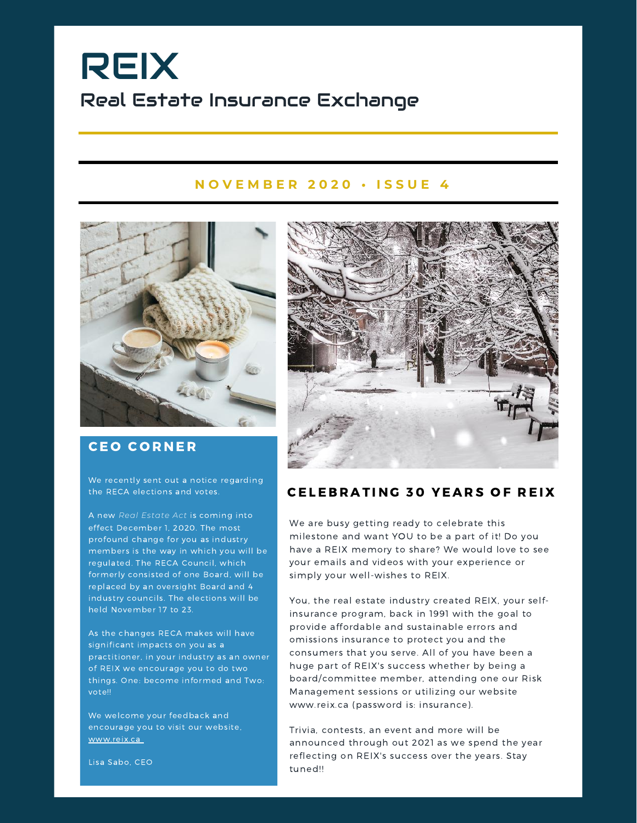# REIX Real Estate Insurance Exchange

#### **N O V E M B E R 2 0 2 0 • I S S U E 4**



### **CEO CORNER**

We recently sent out a notice regarding the RECA elections and votes.

A new *Real Estate Act* is coming into effect December 1, 2020. The most profound change for you as industry members is the way in which you will be regulated. The RECA Council, which formerly consisted of one Board, will be replaced by an oversight Board and 4 industry councils. The elections will be held November 17 to 23.

As the changes RECA makes will have significant impacts on you as a practitioner, in your industry as an owner of REIX we encourage you to do two things. One: become informed and Two: vote!!

We welcome your feedback and encourage you to visit our website, www.reix.ca



### CELEBRATING 30 YEARS OF REIX

We are busy getting ready to celebrate this milestone and want YOU to be a part of it! Do you have a REIX memory to share? We would love to see your emails and videos with your experience or simply your well-wishes to REIX.

You, the real estate industry created REIX, your selfinsurance program, back in 1991 with the goal to provide affordable and sustainable errors and omissions insurance to protect you and the consumers that you serve. All of you have been a huge part of REIX's success whether by being a board/committee member, attending one our Risk Management sessions or utilizing our website www.reix.ca (password is: insurance).

Trivia, contests, an event and more will be announced through out 2021 as we spend the year reflecting on REIX's success over the years. Stay tuned!!

Lisa Sabo, CEO